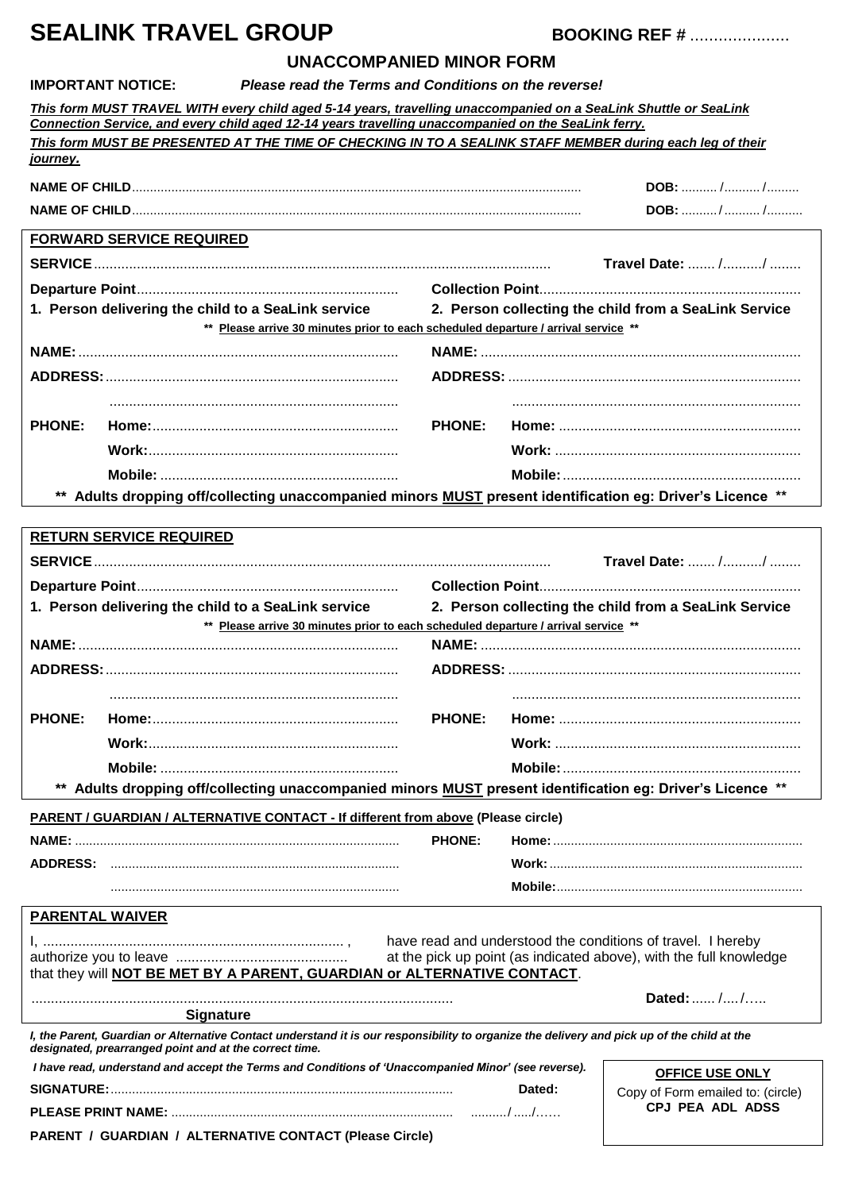# **SEALINK TRAVEL GROUP BOOKING REF #** .....................

### **UNACCOMPANIED MINOR FORM**

| <b>IMPORTANT NOTICE:</b> |  |
|--------------------------|--|
|                          |  |

## **Please read the Terms and Conditions on the reverse!**

|                        | This form MUST TRAVEL WITH every child aged 5-14 years, travelling unaccompanied on a SeaLink Shuttle or SeaLink<br>Connection Service, and every child aged 12-14 years travelling unaccompanied on the SeaLink ferry.<br>This form MUST BE PRESENTED AT THE TIME OF CHECKING IN TO A SEALINK STAFF MEMBER during each leg of their |               |        |                                                                                                                                   |
|------------------------|--------------------------------------------------------------------------------------------------------------------------------------------------------------------------------------------------------------------------------------------------------------------------------------------------------------------------------------|---------------|--------|-----------------------------------------------------------------------------------------------------------------------------------|
| <u>journey.</u>        |                                                                                                                                                                                                                                                                                                                                      |               |        |                                                                                                                                   |
|                        |                                                                                                                                                                                                                                                                                                                                      |               |        | <b>DOB:</b> / /<br>DOB: //                                                                                                        |
|                        |                                                                                                                                                                                                                                                                                                                                      |               |        |                                                                                                                                   |
|                        | <b>FORWARD SERVICE REQUIRED</b>                                                                                                                                                                                                                                                                                                      |               |        |                                                                                                                                   |
|                        |                                                                                                                                                                                                                                                                                                                                      |               |        | Travel Date:  //                                                                                                                  |
|                        | 1. Person delivering the child to a SeaLink service                                                                                                                                                                                                                                                                                  |               |        | 2. Person collecting the child from a SeaLink Service                                                                             |
|                        | ** Please arrive 30 minutes prior to each scheduled departure / arrival service **                                                                                                                                                                                                                                                   |               |        |                                                                                                                                   |
|                        |                                                                                                                                                                                                                                                                                                                                      |               |        |                                                                                                                                   |
|                        |                                                                                                                                                                                                                                                                                                                                      |               |        |                                                                                                                                   |
|                        |                                                                                                                                                                                                                                                                                                                                      |               |        |                                                                                                                                   |
| <b>PHONE:</b>          |                                                                                                                                                                                                                                                                                                                                      | <b>PHONE:</b> |        |                                                                                                                                   |
|                        |                                                                                                                                                                                                                                                                                                                                      |               |        |                                                                                                                                   |
|                        | ** Adults dropping off/collecting unaccompanied minors <b>MUST</b> present identification eg: Driver's Licence **                                                                                                                                                                                                                    |               |        |                                                                                                                                   |
|                        |                                                                                                                                                                                                                                                                                                                                      |               |        |                                                                                                                                   |
|                        | <b>RETURN SERVICE REQUIRED</b>                                                                                                                                                                                                                                                                                                       |               |        |                                                                                                                                   |
|                        |                                                                                                                                                                                                                                                                                                                                      |               |        | Travel Date:  //                                                                                                                  |
|                        |                                                                                                                                                                                                                                                                                                                                      |               |        |                                                                                                                                   |
|                        | 1. Person delivering the child to a SeaLink service                                                                                                                                                                                                                                                                                  |               |        | 2. Person collecting the child from a SeaLink Service                                                                             |
|                        |                                                                                                                                                                                                                                                                                                                                      |               |        |                                                                                                                                   |
|                        | ** Please arrive 30 minutes prior to each scheduled departure / arrival service **                                                                                                                                                                                                                                                   |               |        |                                                                                                                                   |
|                        |                                                                                                                                                                                                                                                                                                                                      |               |        |                                                                                                                                   |
|                        |                                                                                                                                                                                                                                                                                                                                      |               |        |                                                                                                                                   |
|                        |                                                                                                                                                                                                                                                                                                                                      |               |        |                                                                                                                                   |
| <b>PHONE:</b>          |                                                                                                                                                                                                                                                                                                                                      | <b>PHONE:</b> |        |                                                                                                                                   |
|                        |                                                                                                                                                                                                                                                                                                                                      |               |        |                                                                                                                                   |
| $***$                  |                                                                                                                                                                                                                                                                                                                                      |               |        |                                                                                                                                   |
|                        | Adults dropping off/collecting unaccompanied minors <b>MUST</b> present identification eg: Driver's Licence **                                                                                                                                                                                                                       |               |        |                                                                                                                                   |
|                        | <b>PARENT / GUARDIAN / ALTERNATIVE CONTACT - If different from above (Please circle)</b>                                                                                                                                                                                                                                             | <b>PHONE:</b> |        |                                                                                                                                   |
|                        | ADDRESS: ……………………………………………………………………                                                                                                                                                                                                                                                                                                  |               |        |                                                                                                                                   |
|                        |                                                                                                                                                                                                                                                                                                                                      |               |        |                                                                                                                                   |
|                        |                                                                                                                                                                                                                                                                                                                                      |               |        |                                                                                                                                   |
| <b>PARENTAL WAIVER</b> |                                                                                                                                                                                                                                                                                                                                      |               |        |                                                                                                                                   |
|                        |                                                                                                                                                                                                                                                                                                                                      |               |        | have read and understood the conditions of travel. I hereby<br>at the pick up point (as indicated above), with the full knowledge |
|                        | that they will NOT BE MET BY A PARENT, GUARDIAN or ALTERNATIVE CONTACT.                                                                                                                                                                                                                                                              |               |        |                                                                                                                                   |
|                        |                                                                                                                                                                                                                                                                                                                                      |               |        | Dated:  //                                                                                                                        |
|                        | <b>Signature</b><br>I, the Parent, Guardian or Alternative Contact understand it is our responsibility to organize the delivery and pick up of the child at the<br>designated, prearranged point and at the correct time.                                                                                                            |               |        |                                                                                                                                   |
|                        | I have read, understand and accept the Terms and Conditions of 'Unaccompanied Minor' (see reverse).                                                                                                                                                                                                                                  |               |        | <b>OFFICE USE ONLY</b>                                                                                                            |
|                        |                                                                                                                                                                                                                                                                                                                                      |               | Dated: | Copy of Form emailed to: (circle)<br><b>CPJ PEA ADL ADSS</b>                                                                      |

**PARENT / GUARDIAN / ALTERNATIVE CONTACT (Please Circle)**